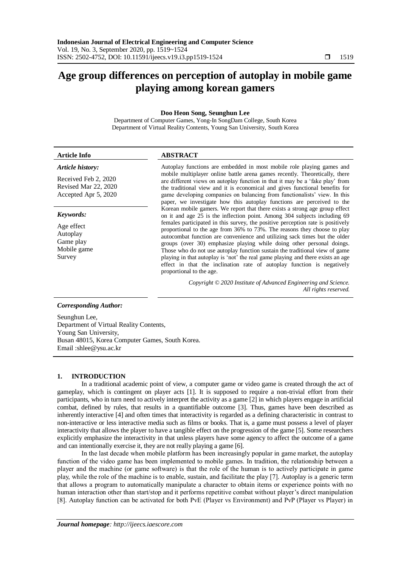# **Age group differences on perception of autoplay in mobile game playing among korean gamers**

# **Doo Heon Song, Seunghun Lee**

Department of Computer Games, Yong-In SongDam College, South Korea Department of Virtual Reality Contents, Young San University, South Korea

#### **Article Info ABSTRACT** *Article history:* Received Feb 2, 2020 Revised Mar 22, 2020 Accepted Apr 5, 2020 Autoplay functions are embedded in most mobile role playing games and mobile multiplayer online battle arena games recently. Theoretically, there are different views on autoplay function in that it may be a "fake play" from the traditional view and it is economical and gives functional benefits for game developing companies on balancing from functionalists' view. In this paper, we investigate how this autoplay functions are perceived to the Korean mobile gamers. We report that there exists a strong age group effect on it and age 25 is the inflection point. Among 304 subjects including 69 females participated in this survey, the positive perception rate is positively proportional to the age from 36% to 73%. The reasons they choose to play autocombat function are convenience and utilizing sack times but the older groups (over 30) emphasize playing while doing other personal doings. Those who do not use autoplay function sustain the traditional view of game playing in that autoplay is "not" the real game playing and there exists an age effect in that the inclination rate of autoplay function is negatively proportional to the age. *Keywords:* Age effect Autoplay Game play Mobile game Survey

*Copyright © 2020 Institute of Advanced Engineering and Science. All rights reserved.*

## *Corresponding Author:*

Seunghun Lee, Department of Virtual Reality Contents, Young San University, Busan 48015, Korea Computer Games, South Korea. Email :shlee@ysu.ac.kr

## **1. INTRODUCTION**

In a traditional academic point of view, a computer game or video game is created through the act of gameplay, which is contingent on player acts [1]. It is supposed to require a non-trivial effort from their participants, who in turn need to actively interpret the activity as a game [2] in which players engage in artificial combat, defined by rules, that results in a quantifiable outcome [3]. Thus, games have been described as inherently interactive [4] and often times that interactivity is regarded as a defining characteristic in contrast to non-interactive or less interactive media such as films or books. That is, a game must possess a level of player interactivity that allows the player to have a tangible effect on the progression of the game [5]. Some researchers explicitly emphasize the interactivity in that unless players have some agency to affect the outcome of a game and can intentionally exercise it, they are not really playing a game [6].

In the last decade when mobile platform has been increasingly popular in game market, the autoplay function of the video game has been implemented to mobile games. In tradition, the relationship between a player and the machine (or game software) is that the role of the human is to actively participate in game play, while the role of the machine is to enable, sustain, and facilitate the play [7]. Autoplay is a generic term that allows a program to automatically manipulate a character to obtain items or experience points with no human interaction other than start/stop and it performs repetitive combat without player's direct manipulation [8]. Autoplay function can be activated for both PvE (Player vs Environment) and PvP (Player vs Player) in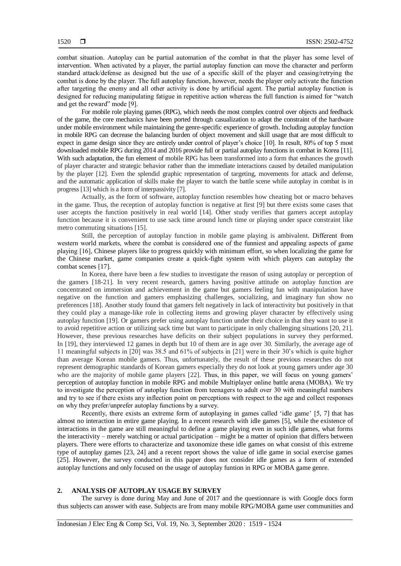combat situation. Autoplay can be partial automation of the combat in that the player has some level of intervention. When activated by a player, the partial autoplay function can move the character and perform standard attack/defense as designed but the use of a specific skill of the player and ceasing/retrying the combat is done by the player. The full autoplay function, however, needs the player only activate the function after targeting the enemy and all other activity is done by artificial agent. The partial autoplay function is designed for reducing manipulating fatigue in repetitive action whereas the full function is aimed for "watch and get the reward" mode [9].

For mobile role playing games (RPG), which needs the most complex control over objects and feedback of the game, the core mechanics have been ported through casualization to adapt the constraint of the hardware under mobile environment while maintaining the genre-specific experience of growth. Including autoplay function in mobile RPG can decrease the balancing burden of object movement and skill usage that are most difficult to expect in game design since they are entirely under control of player's choice [10]. In result, 80% of top 5 most downloaded mobile RPG during 2014 and 2016 provide full or partial autoplay functions in combat in Korea [11]. With such adaptation, the fun element of mobile RPG has been transformed into a form that enhances the growth of player character and strategic behavior rather than the immediate interactions caused by detailed manipulation by the player [12]. Even the splendid graphic representation of targeting, movements for attack and defense, and the automatic application of skills make the player to watch the battle scene while autoplay in combat is in progress [13] which is a form of interpassivity [7].

Actually, as the form of software, autoplay function resembles how cheating bot or macro behaves in the game. Thus, the reception of autoplay function is negative at first [9] but there exists some cases that user accepts the function positively in real world [14]. Other study verifies that gamers accept autoplay function because it is convenient to use sack time around lunch time or playing under space constraint like metro commuting situations [15].

Still, the perception of autoplay function in mobile game playing is ambivalent. Different from western world markets, where the combat is considered one of the funniest and appealing aspects of game playing [16], Chinese players like to progress quickly with minimum effort, so when localizing the game for the Chinese market, game companies create a quick-fight system with which players can autoplay the combat scenes [17].

In Korea, there have been a few studies to investigate the reason of using autoplay or perception of the gamers [18-21]. In very recent research, gamers having positive attitude on autoplay function are concentrated on immersion and achievement in the game but gamers feeling fun with manipulation have negative on the function and gamers emphasizing challenges, socializing, and imaginary fun show no preferences [18]. Another study found that gamers felt negatively in lack of interactivity but positively in that they could play a manage-like role in collecting items and growing player character by effectively using autoplay function [19]. Or gamers prefer using autoplay function under their choice in that they want to use it to avoid repetitive action or utilizing sack time but want to participate in only challenging situations [20, 21]. However, these previous researches have deficits on their subject populations in survey they performed. In [19], they interviewed 12 games in depth but 10 of them are in age over 30. Similarly, the average age of 11 meaningful subjects in [20] was 38.5 and 61% of subjects in [21] were in their 30"s which is quite higher than average Korean mobile gamers. Thus, unfortunately, the result of these previous researches do not represent demographic standards of Korean gamers especially they do not look at young gamers under age 30 who are the majority of mobile game players [22]. Thus, in this paper, we will focus on young gamers' perception of autoplay function in mobile RPG and mobile Multiplayer online battle arena (MOBA). We try to investigate the perception of autoplay function from teenagers to adult over 30 with meaningful numbers and try to see if there exists any inflection point on perceptions with respect to the age and collect responses on why they prefer/unprefer autoplay functions by a survey.

Recently, there exists an extreme form of autoplaying in games called "idle game" [5, 7] that has almost no interaction in entire game playing. In a recent research with idle games [5], while the existence of interactions in the game are still meaningful to define a game playing even in such idle games, what forms the interactivity – merely watching or actual participation – might be a matter of opinion that differs between players. There were efforts to characterize and taxonomize these idle games on what consist of this extreme type of autoplay games [23, 24] and a recent report shows the value of idle game in social exercise games [25]. However, the survey conducted in this paper does not consider idle games as a form of extended autoplay functions and only focused on the usage of autoplay funtion in RPG or MOBA game genre.

#### **2. ANALYSIS OF AUTOPLAY USAGE BY SURVEY**

The survey is done during May and June of 2017 and the questionnare is with Google docs form thus subjects can answer with ease. Subjects are from many mobile RPG/MOBA game user communities and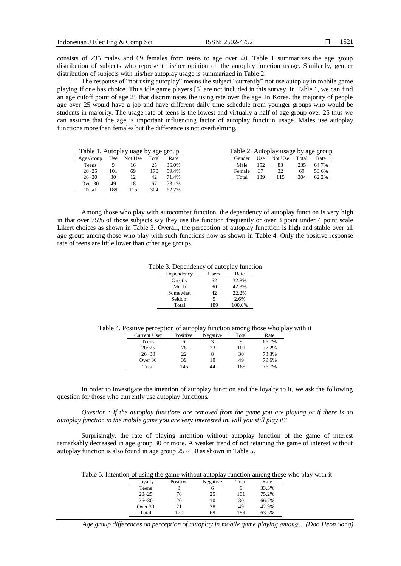consists of 235 males and 69 females from teens to age over 40. Table 1 summarizes the age group distribution of subjects who represent his/her opinion on the autoplay function usage. Similarily, gender distribution of subjects with his/her autoplay usage is summarized in Table 2.

The response of "not using autoplay" means the subject "currently" not use autoplay in mobile game playing if one has choice. Thus idle game players [5] are not included in this survey. In Table 1, we can find an age cufoff point of age 25 that discriminates the using rate over the age. In Korea, the majority of people age over 25 would have a job and have different daily time schedule from younger groups who would be students in majority. The usage rate of teens is the lowest and virtually a half of age group over 25 thus we can assume that the age is important influencing factor of autoplay functuin usage. Males use autoplay functions more than females but the difference is not overhelming.

| Table 1. Autoplay uage by age group |     |         | Table 2. Autoplay usage by age group |       |        |     |         |       |       |
|-------------------------------------|-----|---------|--------------------------------------|-------|--------|-----|---------|-------|-------|
| Age Group                           | Use | Not Use | Total                                | Rate  | Gender | Use | Not Use | Total | Rate  |
| Teens                               |     | 16      | 25                                   | 36.0% | Male   | 152 | 83      | 235   | 64.7% |
| $20 - 25$                           | 101 | 69      | 70                                   | 59.4% | Female | 37  | 32      | 69    | 53.6% |
| $26 - 30$                           | 30  | 12      | 42                                   | 71.4% | Total  | 189 | 115     | 304   | 62.2% |
| Over 30                             | 49  | 18      | 67                                   | 73.1% |        |     |         |       |       |
| Total                               | 189 | 115     | 304                                  | 62.2% |        |     |         |       |       |

Among those who play with autocombat function, the dependency of autoplay function is very high in that over 75% of those subjects say they use the function frequently or over 3 point under 4 point scale Likert choices as shown in Table 3. Overall, the perception of autoplay functtion is high and stable over all age group among those who play with such functions now as shown in Table 4. Only the positive response rate of teens are little lower than other age groups.

Table 3. Dependency of autoplay function

| Dependency | Users | Rate   |
|------------|-------|--------|
| Greatly    | 62    | 32.8%  |
| Much       | 80    | 42.3%  |
| Somewhat   | 42    | 22.2%  |
| Seldom     | 5     | 2.6%   |
| Total      | 189   | 100.0% |

Table 4. Positive perception of autoplay function among those who play with it

| Current User | Positive | Negative | Total | Rate  |
|--------------|----------|----------|-------|-------|
| Teens        |          |          |       | 66.7% |
| $20 - 25$    | 78       | 23       | 101   | 77.2% |
| $26 - 30$    | 22       |          | 30    | 73.3% |
| Over 30      | 39       | 10       | 49    | 79.6% |
| Total        | 145      | 44       | 189   | 76.7% |

In order to investigate the intention of autoplay function and the loyalty to it, we ask the following question for those who currently use autoplay functions.

*Question : If the autoplay functions are removed from the game you are playing or if there is no autoplay function in the mobile game you are very interested in, will you still play it?*

Surprisingly, the rate of playing intention without autoplay function of the game of interest remarkably decreased in age group 30 or more. A weaker trend of not retaining the game of interest without autoplay function is also found in age group  $25 \sim 30$  as shown in Table 5.

Table 5. Intention of using the game without autoplay function among those who play with it

|           |          |          |       | $\check{ }$ |
|-----------|----------|----------|-------|-------------|
| Loyalty   | Positive | Negative | Total | Rate        |
| Teens     |          | О        |       | 33.3%       |
| $20 - 25$ | 76       | 25       | 101   | 75.2%       |
| $26 - 30$ | 20       | 10       | 30    | 66.7%       |
| Over 30   | 21       | 28       | 49    | 42.9%       |
| Total     | 120      | 69       | 189   | 63.5%       |

*Age group differences on perception of autoplay in mobile game playing among… (Doo Heon Song)*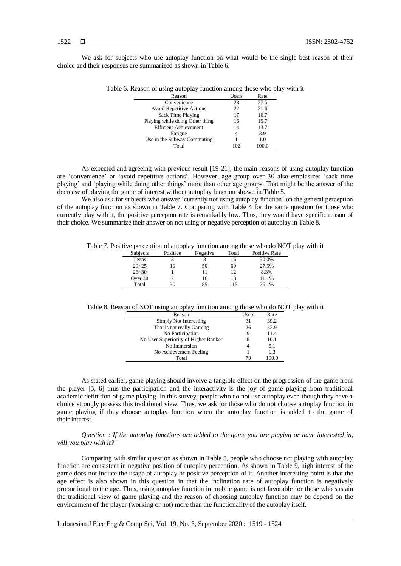We ask for subjects who use autoplay function on what would be the single best reason of their choice and their responses are summarized as shown in Table 6.

| ic o. Keason or using autopiay function among those who play w |       |       |  |
|----------------------------------------------------------------|-------|-------|--|
| Reason                                                         | Users | Rate  |  |
| Convenience                                                    | 28    | 27.5  |  |
| <b>Avoid Repetitive Actions</b>                                | 22    | 21.6  |  |
| Sack Time Playing                                              | 17    | 16.7  |  |
| Playing while doing Other thing                                | 16    | 15.7  |  |
| <b>Efficient Achievement</b>                                   | 14    | 13.7  |  |
| Fatigue                                                        | 4     | 3.9   |  |
| Use in the Subway Commuting                                    |       | 1.0   |  |
| Total                                                          | 102   | 100.0 |  |

Table 6. Reason of using autoplay function among those who play with it

As expected and agreeing with previous result [19-21], the main reasons of using autoplay function are "convenience" or "avoid repetitive actions". However, age group over 30 also emplasizes "sack time playing' and 'playing while doing other things' more than other age groups. That might be the answer of the decrease of playing the game of interest without autoplay function shown in Table 5.

We also ask for subjects who answer 'currently not using autoplay function' on the general perception of the autoplay function as shown in Table 7. Comparing with Table 4 for the same question for those who currently play with it, the positive percepton rate is remarkably low. Thus, they would have specific reason of their choice. We summarize their answer on not using or negative perception of autoplay in Table 8.

Table 7. Positive perception of autoplay function among those who do NOT play with it

| Subjects  | Positive | Negative | Total | Positive Rate |
|-----------|----------|----------|-------|---------------|
| Teens     |          |          | 16    | 50.0%         |
| $20 - 25$ | 19       | 50       | 69    | 27.5%         |
| $26 - 30$ |          |          | 12    | 8.3%          |
| Over 30   |          | 16       | 18    | 11.1%         |
| Total     | 30       | 85       | 115   | 26.1%         |
|           |          |          |       |               |

Table 8. Reason of NOT using autoplay function among those who do NOT play with it

| Reason                               | Users | Rate  |
|--------------------------------------|-------|-------|
| Simply Not Interesting               | 31    | 39.2  |
| That is not really Gaming            | 26    | 32.9  |
| No Participation                     | 9     | 11.4  |
| No User Superiority of Higher Ranker | 8     | 10.1  |
| No Immersion                         |       | 5.1   |
| No Achievement Feeling               |       | 13    |
| Total                                | 79    | 100.0 |

As stated earlier, game playing should involve a tangible effect on the progression of the game from the player [5, 6] thus the participation and the interactivity is the joy of game playing from traditional academic definition of game playing. In this survey, people who do not use autoplay even though they have a choice strongly possess this traditional view. Thus, we ask for those who do not choose autoplay function in game playing if they choose autoplay function when the autoplay function is added to the game of their interest.

*Question : If the autoplay functions are added to the game you are playing or have interested in, will you play with it?*

Comparing with similar question as shown in Table 5, people who choose not playing with autoplay function are consistent in negative position of autoplay perception. As shown in Table 9, high interest of the game does not induce the usage of autoplay or positive perception of it. Another interesting point is that the age effect is also shown in this question in that the inclination rate of autoplay function is negatively proportional to the age. Thus, using autoplay function in mobile game is not favorable for those who sustain the traditional view of game playing and the reason of choosing autoplay function may be depend on the environment of the player (working or not) more than the functionality of the autoplay itself.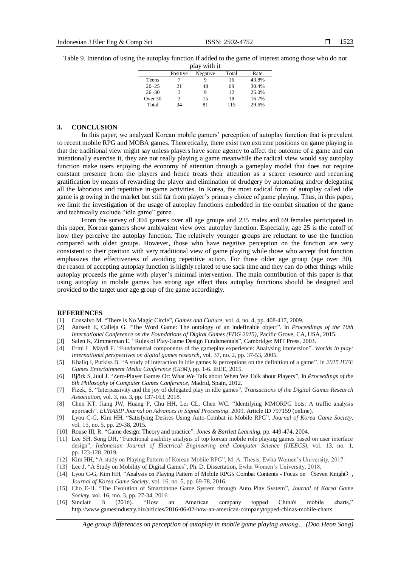Table 9. Intention of using the autoplay function if added to the game of interest among those who do not

| play with it |          |          |       |       |  |  |
|--------------|----------|----------|-------|-------|--|--|
|              | Positive | Negative | Total | Rate  |  |  |
| <b>Teens</b> |          |          | 16    | 43.8% |  |  |
| $20 - 25$    | 21       | 48       | 69    | 30.4% |  |  |
| $26 - 30$    |          | 9        | 12    | 25.0% |  |  |
| Over 30      |          | 15       | 18    | 16.7% |  |  |
| Total        | 34       | 81       | 115   | 29.6% |  |  |

#### **3. CONCLUSION**

In this paper, we analyzed Korean mobile gamers" perception of autoplay function that is prevalent to recent mobile RPG and MOBA games. Theoretically, there exist two extreme positions on game playing in that the traditional view might say unless players have some agency to affect the outcome of a game and can intentionally exercise it, they are not really playing a game meanwhile the radical view would say autoplay function make users enjoying the economy of attention through a gameplay model that does not require constant presence from the players and hence treats their attention as a scarce resource and recurring gratification by means of rewarding the player and elimination of drudgery by automating and/or delegating all the laborious and repetitive in-game activities. In Korea, the most radical form of autoplay called idle game is growing in the market but still far from player"s primary choice of game playing. Thus, in this paper, we limit the investigation of the usage of autoplay functions embedded in the combat situation of the game and technically exclude "idle game" genre..

From the survey of 304 gamers over all age groups and 235 males and 69 females participated in this paper, Korean gamers show ambivalent view over autoplay function. Especially, age 25 is the cutoff of how they perceive the autoplay function. The relatively younger groups are reluctant to use the function compared with older groups. However, those who have negative perception on the function are very consistent to their position with very traditional view of game playing while those who accept that function emphasizes the effectiveness of avoiding repetitive action. For those older age group (age over 30), the reason of accepting autoplay function is highly related to use sack time and they can do other things while autoplay proceeds the game with player"s minimal intervention. The main contribution of this paper is that using autoplay in mobile games has strong age effect thus autoplay functions should be designed and provided to the target user age group of the game accordingly.

#### **REFERENCES**

- [1] Consalvo M. "There is No Magic Circle", *Games and Culture*, vol. 4, no. 4, pp. 408-417, 2009.
- [2] Aarseth E, Calleja G. "The Word Game: The ontology of an indefinable object". In *Proceedings of the 10th International Conference on the Foundations of Digital Games (FDG 2015)*, Pacific Grove, CA, USA, 2015.
- [3] Salen K, Zimmerman E. "Rules of Play-Game Design Fundamentals", Cambridge: MIT Press, 2003.
- [4] Ermi L. Mäyrä F. "Fundamental components of the gameplay experience: Analysing immersion". *Worlds in play: International perspectives on digital games research,* vol. 37, no. 2, pp. 37-53, 2005.
- [5] Khaliq I, Purkiss B. "A study of interaction in idle games & perceptions on the definition of a game". In *2015 IEEE Games Entertainment Media Conference (GEM)*, pp. 1-6. IEEE, 2015.
- [6] Björk S, Juul J. "Zero-Player Games Or: What We Talk about When We Talk about Players"*,* In *Proceedings of the 6th Philosophy of Computer Games Conference*, Madrid, Spain, 2012.
- [7] Fizek, S. "Interpassivity and the joy of delegated play in idle games", *Transactions of the Digital Games Research Association,* vol. 3, no. 3, pp. 137-163, 2018.
- [8] Chen KT, Jiang JW, Huang P, Chu HH, Lei CL, Chen WC. "Identifying MMORPG bots: A traffic analysis approach". *EURASIP Journal on Advances in Signal Processing*. 2009, Article ID 797159 (online).
- [9] Lyou C-G, Kim HH, "Satisfying Desires Using Auto-Combat in Mobile RPG", *Journal of Korea Game Society*, vol. 15, no. 5, pp. 29-38, 2015.
- [10] Rouse III, R. "Game design: Theory and practice". *Jones & Bartlett Learning*, pp. 449-474, 2004.
- [11] Lee SH, Song DH, "Functional usability analysis of top korean mobile role playing games based on user interface design", *[Indonesian Journal of Electrical Engineering and Computer Science](https://www.scopus.com/sourceid/21100799500?origin=resultslist) (IJEECS)*, vol. 13, no. 1, pp. 123-128, 2019.
- [12] Kim HH, "A study on Playing Pattern of Korean Mobile RPG", M. A. Thesis, Ewha Women"s University, 2017.
- [13] Lee J. "A Study on Mobility of Digital Games", Ph. D. Dissertation, Ewha Women"s University, 2018.
- [14] Lyou C-G, Kim HH, "Analysis on Playing Pattern of Mobile RPG's Combat Contents Focus on 〈Seven Knight〉, *Journal of Korea Game Society*, vol. 16, no. 5, pp. 69-78, 2016.
- [15] Cho E-H. "The Evolution of Smartphone Game System through Auto Play System", *Journal of Korea Game Society*, vol. 16, mo. 3, pp. 27-34, 2016.
- [16] Sinclair B (2016). "How an American company topped China's mobile charts," http://www.gamesindustry.biz/articles/2016-06-02-how-an-american-companytopped-chinas-mobile-charts